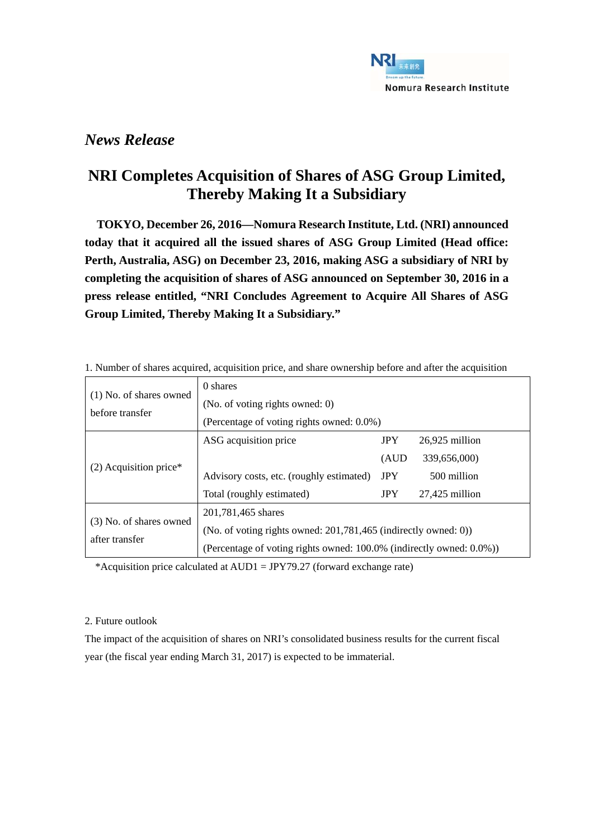

## *News Release*

## **NRI Completes Acquisition of Shares of ASG Group Limited, Thereby Making It a Subsidiary**

**TOKYO, December 26, 2016—Nomura Research Institute, Ltd. (NRI) announced today that it acquired all the issued shares of ASG Group Limited (Head office: Perth, Australia, ASG) on December 23, 2016, making ASG a subsidiary of NRI by completing the acquisition of shares of ASG announced on September 30, 2016 in a press release entitled, "NRI Concludes Agreement to Acquire All Shares of ASG Group Limited, Thereby Making It a Subsidiary."** 

| $(1)$ No. of shares owned<br>before transfer | 0 shares                                                             |            |                  |  |  |
|----------------------------------------------|----------------------------------------------------------------------|------------|------------------|--|--|
|                                              | (No. of voting rights owned: 0)                                      |            |                  |  |  |
|                                              | (Percentage of voting rights owned: 0.0%)                            |            |                  |  |  |
| $(2)$ Acquisition price*                     | ASG acquisition price                                                | <b>JPY</b> | $26,925$ million |  |  |
|                                              |                                                                      | (AUD       | 339,656,000)     |  |  |
|                                              | Advisory costs, etc. (roughly estimated)                             | <b>JPY</b> | 500 million      |  |  |
|                                              | Total (roughly estimated)                                            | <b>JPY</b> | $27,425$ million |  |  |
| (3) No. of shares owned<br>after transfer    | 201,781,465 shares                                                   |            |                  |  |  |
|                                              | (No. of voting rights owned: $201,781,465$ (indirectly owned: 0))    |            |                  |  |  |
|                                              | (Percentage of voting rights owned: 100.0% (indirectly owned: 0.0%)) |            |                  |  |  |

1. Number of shares acquired, acquisition price, and share ownership before and after the acquisition

\*Acquisition price calculated at AUD1 = JPY79.27 (forward exchange rate)

## 2. Future outlook

The impact of the acquisition of shares on NRI's consolidated business results for the current fiscal year (the fiscal year ending March 31, 2017) is expected to be immaterial.